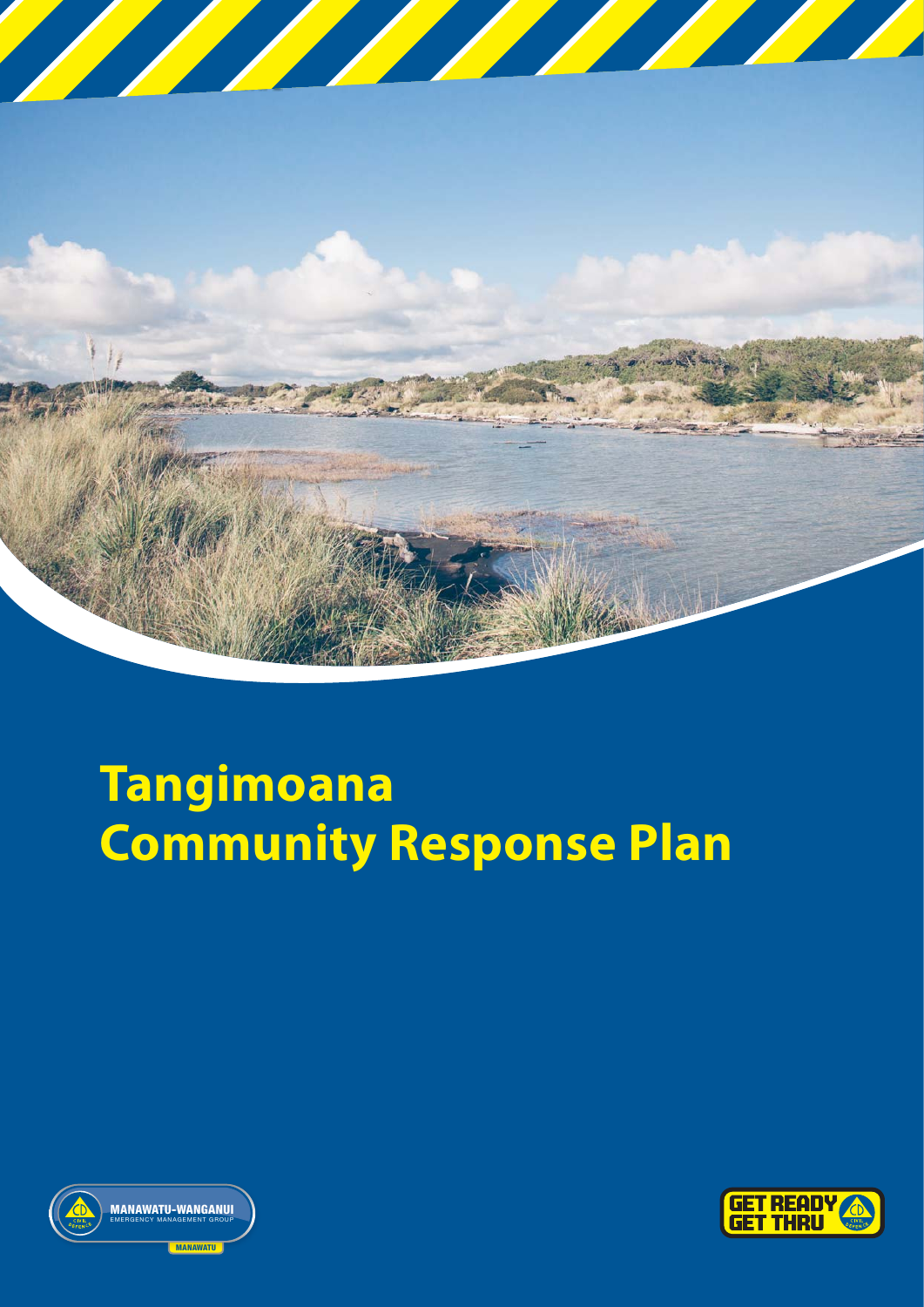

# **Tangimoana Community Response Plan**



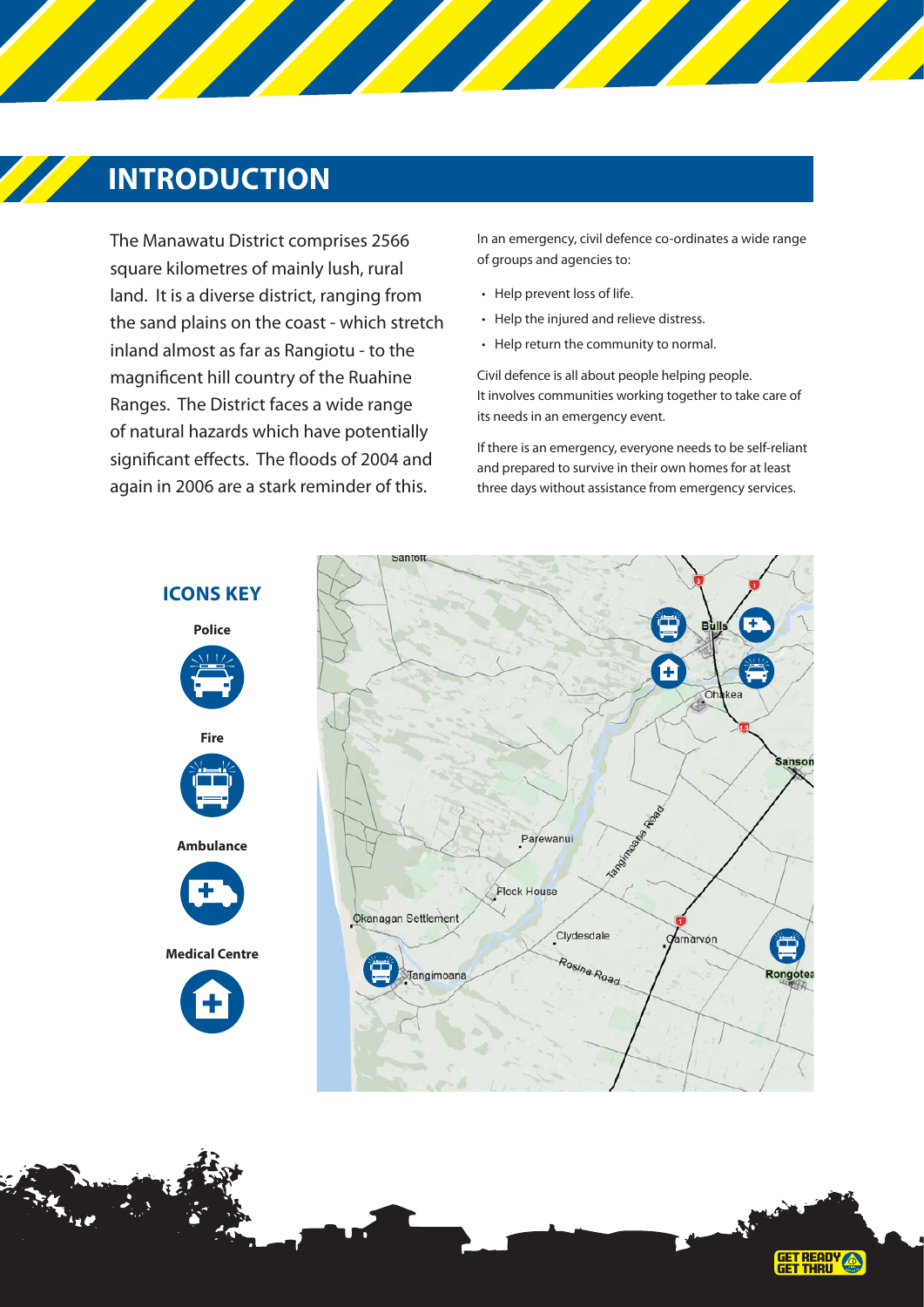### **INTRODUCTION**

The Manawatu District comprises 2566 square kilometres of mainly lush, rural land. It is a diverse district, ranging from the sand plains on the coast - which stretch inland almost as far as Rangiotu - to the magnificent hill country of the Ruahine Ranges. The District faces a wide range of natural hazards which have potentially significant effects. The floods of 2004 and again in 2006 are a stark reminder of this.

In an emergency, civil defence co-ordinates a wide range of groups and agencies to:

- Help prevent loss of life.
- Help the injured and relieve distress.
- Help return the community to normal.

Civil defence is all about people helping people. It involves communities working together to take care of its needs in an emergency event.

If there is an emergency, everyone needs to be self-reliant and prepared to survive in their own homes for at least three days without assistance from emergency services.





**ICONS KEY**



**Ambulance**



**Medical Centre**



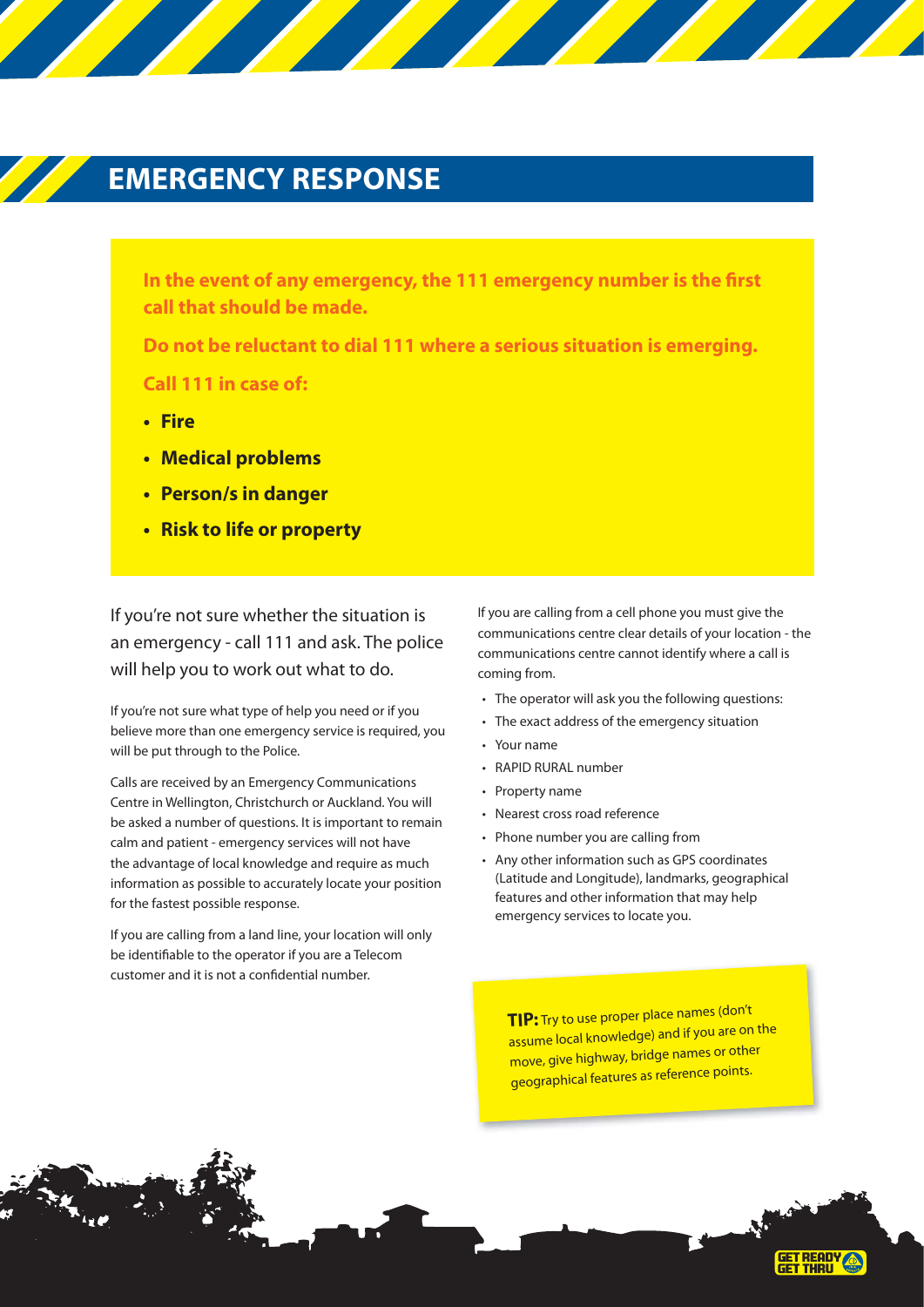### **EMERGENCY RESPONSE**

In the event of any emergency, the 111 emergency number is the first **call that should be made.**

**Do not be reluctant to dial 111 where a serious situation is emerging. Call 111 in case of:**

- **Fire**
- **Medical problems**
- **Person/s in danger**
- **Risk to life or property**

If you're not sure whether the situation is an emergency - call 111 and ask. The police will help you to work out what to do.

If you're not sure what type of help you need or if you believe more than one emergency service is required, you will be put through to the Police.

Calls are received by an Emergency Communications Centre in Wellington, Christchurch or Auckland. You will be asked a number of questions. It is important to remain calm and patient - emergency services will not have the advantage of local knowledge and require as much information as possible to accurately locate your position for the fastest possible response.

If you are calling from a land line, your location will only be identifiable to the operator if you are a Telecom customer and it is not a confidential number.

If you are calling from a cell phone you must give the communications centre clear details of your location - the communications centre cannot identify where a call is coming from.

- The operator will ask you the following questions:
- The exact address of the emergency situation
- Your name
- RAPID RURAL number
- Property name
- Nearest cross road reference
- Phone number you are calling from
- Any other information such as GPS coordinates (Latitude and Longitude), landmarks, geographical features and other information that may help emergency services to locate you.

**TIP:** Try to use proper place names (don't assume local knowledge) and if you are on the move, give highway, bridge names or other geographical features as reference points.

**GET READY<br>GET THRU**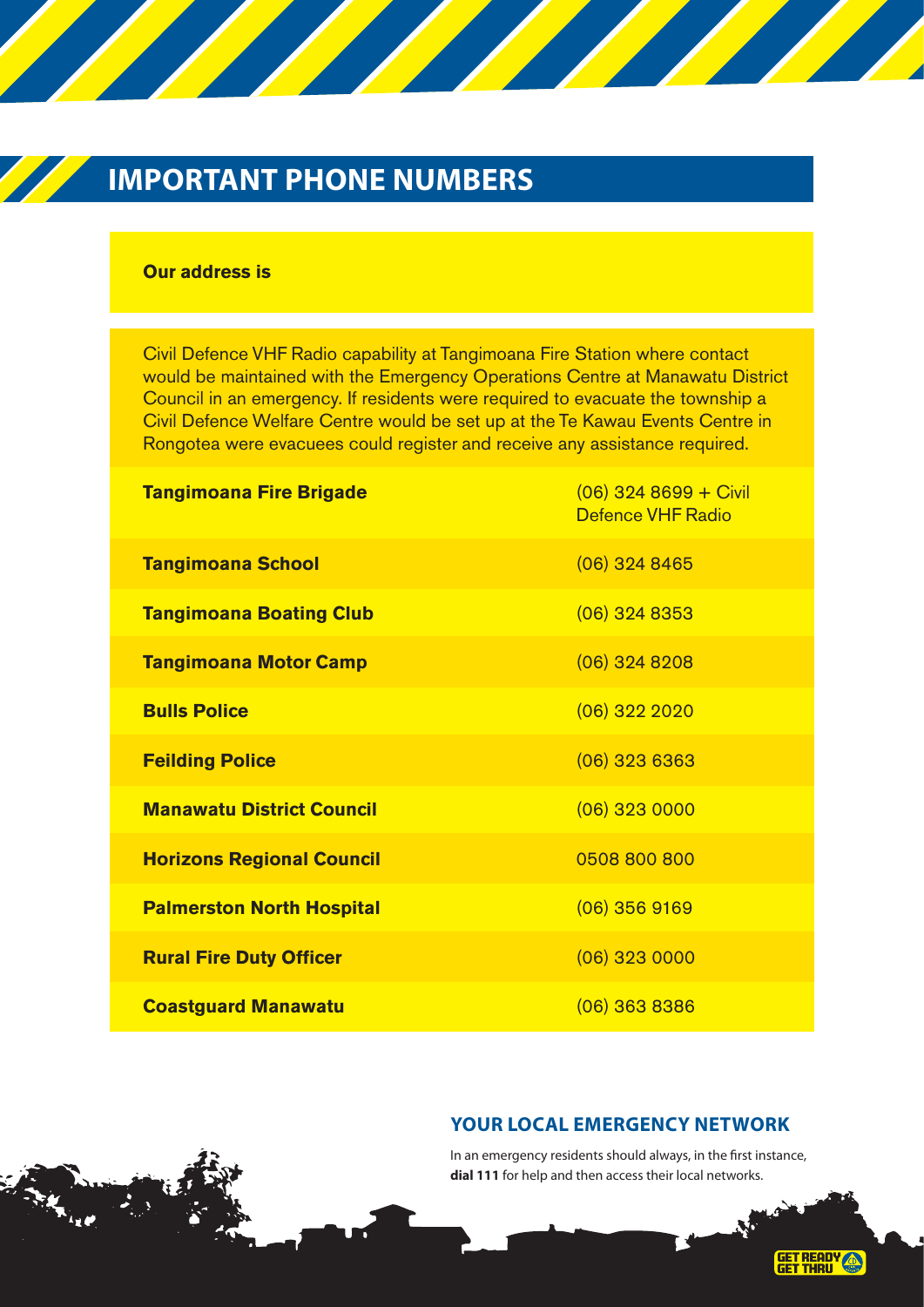# **IMPORTANT PHONE NUMBERS**

#### **Our address is**

Civil Defence VHF Radio capability at Tangimoana Fire Station where contact would be maintained with the Emergency Operations Centre at Manawatu District Council in an emergency. If residents were required to evacuate the township a Civil Defence Welfare Centre would be set up at the Te Kawau Events Centre in Rongotea were evacuees could register and receive any assistance required.

| <b>Tangimoana Fire Brigade</b>   | $(06)$ 324 8699 + Civil<br><b>Defence VHF Radio</b> |
|----------------------------------|-----------------------------------------------------|
| <b>Tangimoana School</b>         | $(06)$ 324 8465                                     |
| <b>Tangimoana Boating Club</b>   | $(06)$ 324 8353                                     |
| <b>Tangimoana Motor Camp</b>     | $(06)$ 324 8208                                     |
| <b>Bulls Police</b>              | $(06)$ 322 2020                                     |
| <b>Feilding Police</b>           | $(06)$ 323 6363                                     |
| <b>Manawatu District Council</b> | $(06)$ 323 0000                                     |
| <b>Horizons Regional Council</b> | 0508 800 800                                        |
| <b>Palmerston North Hospital</b> | $(06)$ 356 9169                                     |
| <b>Rural Fire Duty Officer</b>   | $(06)$ 323 0000                                     |
| <b>Coastguard Manawatu</b>       | $(06)$ 363 8386                                     |

#### **YOUR LOCAL EMERGENCY NETWORK**

In an emergency residents should always, in the first instance, **dial 111** for help and then access their local networks.

GET READY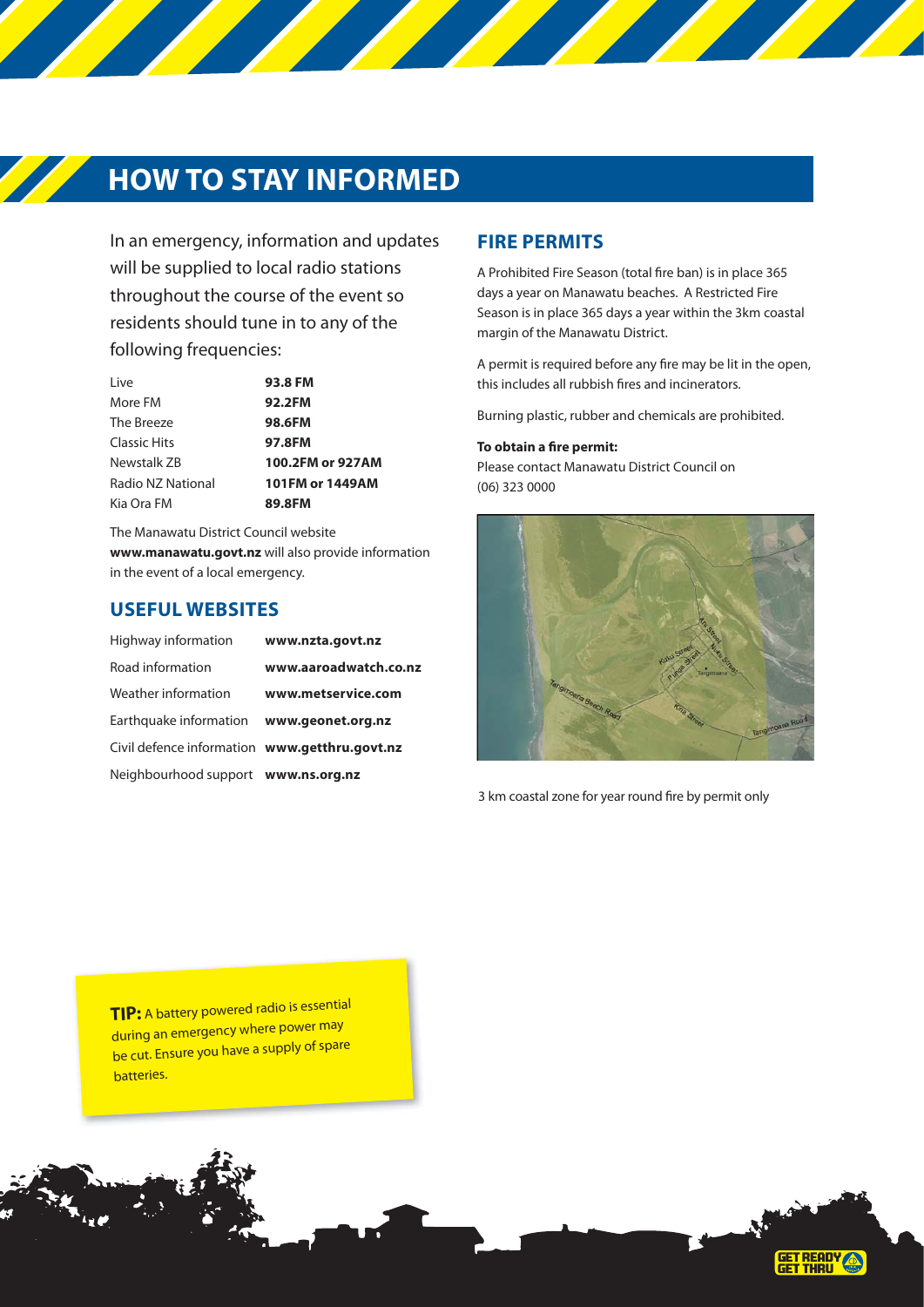### **HOW TO STAY INFORMED**

In an emergency, information and updates will be supplied to local radio stations throughout the course of the event so residents should tune in to any of the following frequencies:

| 93.8 FM          |
|------------------|
| 92.2FM           |
| 98.6FM           |
| 97.8FM           |
| 100.2FM or 927AM |
| 101FM or 1449AM  |
| 89.8FM           |
|                  |

The Manawatu District Council website **www.manawatu.govt.nz** will also provide information in the event of a local emergency.

#### **USEFUL WEBSITES**

| Highway information                           | www.nzta.govt.nz      |
|-----------------------------------------------|-----------------------|
| Road information                              | www.aaroadwatch.co.nz |
| Weather information                           | www.metservice.com    |
| Earthquake information www.geonet.org.nz      |                       |
| Civil defence information www.getthru.govt.nz |                       |
| Neighbourhood support www.ns.org.nz           |                       |

#### **FIRE PERMITS**

A Prohibited Fire Season (total fire ban) is in place 365 days a year on Manawatu beaches. A Restricted Fire Season is in place 365 days a year within the 3km coastal margin of the Manawatu District.

A permit is required before any fire may be lit in the open, this includes all rubbish fires and incinerators.

Burning plastic, rubber and chemicals are prohibited.

#### **To obtain a fire permit:**

Please contact Manawatu District Council on (06) 323 0000



3 km coastal zone for year round fire by permit only

**TIP:** A battery powered radio is essential during an emergency where power may be cut. Ensure you have a supply of spare batteries.

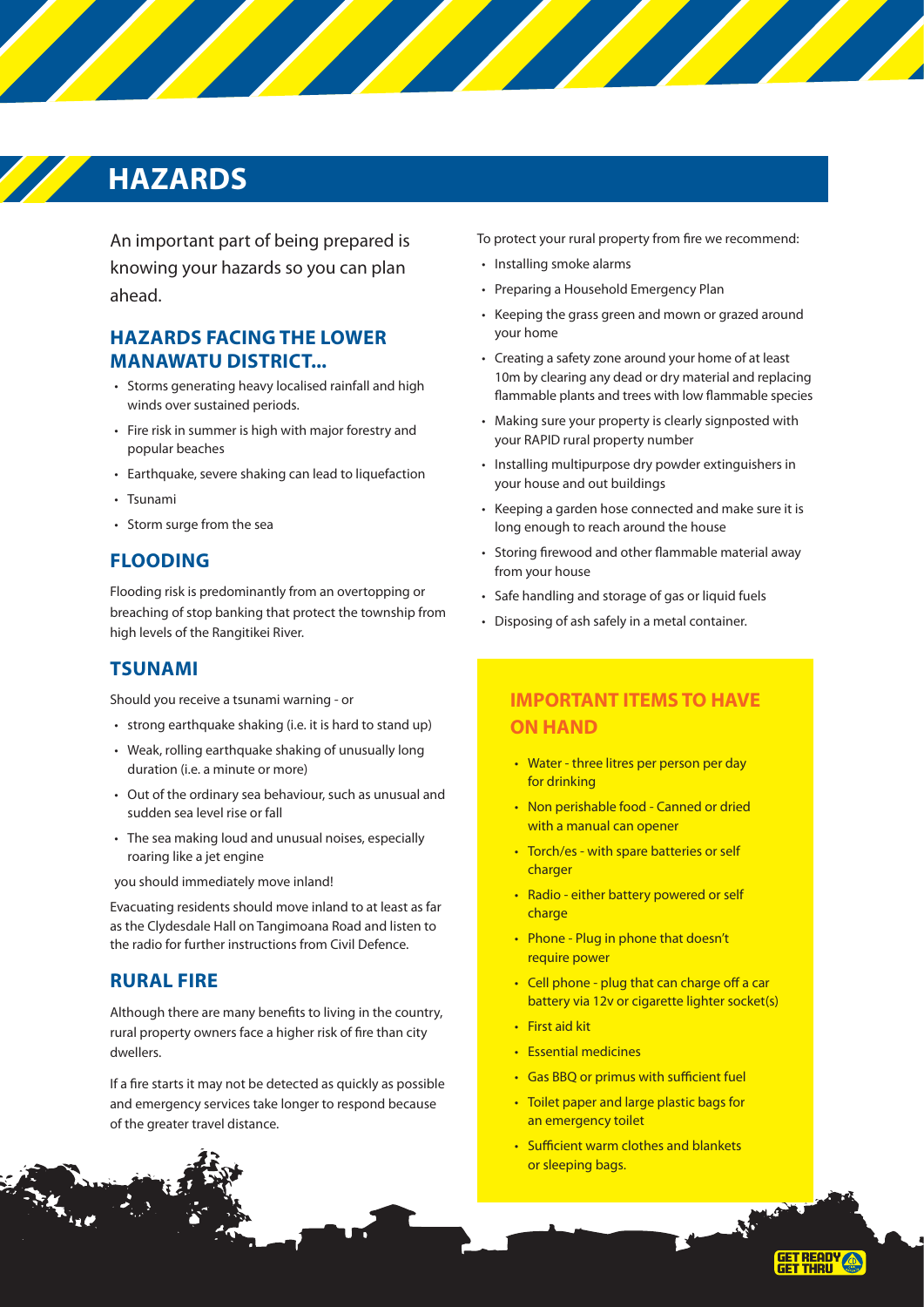## **HAZARDS**

An important part of being prepared is knowing your hazards so you can plan ahead.

#### **HAZARDS FACING THE LOWER MANAWATU DISTRICT...**

- Storms generating heavy localised rainfall and high winds over sustained periods.
- Fire risk in summer is high with major forestry and popular beaches
- Earthquake, severe shaking can lead to liquefaction
- Tsunami
- Storm surge from the sea

#### **FLOODING**

Flooding risk is predominantly from an overtopping or breaching of stop banking that protect the township from high levels of the Rangitikei River.

#### **TSUNAMI**

Should you receive a tsunami warning - or

- strong earthquake shaking (i.e. it is hard to stand up)
- Weak, rolling earthquake shaking of unusually long duration (i.e. a minute or more)
- Out of the ordinary sea behaviour, such as unusual and sudden sea level rise or fall
- The sea making loud and unusual noises, especially roaring like a jet engine

you should immediately move inland!

Evacuating residents should move inland to at least as far as the Clydesdale Hall on Tangimoana Road and listen to the radio for further instructions from Civil Defence.

#### **RURAL FIRE**

Although there are many benefits to living in the country, rural property owners face a higher risk of fire than city dwellers.

If a fire starts it may not be detected as quickly as possible and emergency services take longer to respond because of the greater travel distance.

To protect your rural property from fire we recommend:

- Installing smoke alarms
- Preparing a Household Emergency Plan
- Keeping the grass green and mown or grazed around your home
- Creating a safety zone around your home of at least 10m by clearing any dead or dry material and replacing flammable plants and trees with low flammable species
- Making sure your property is clearly signposted with your RAPID rural property number
- Installing multipurpose dry powder extinguishers in your house and out buildings
- Keeping a garden hose connected and make sure it is long enough to reach around the house
- Storing firewood and other flammable material away from your house
- Safe handling and storage of gas or liquid fuels
- Disposing of ash safely in a metal container.

### **IMPORTANT ITEMS TO HAVE ON HAND**

- Water three litres per person per day for drinking
- Non perishable food Canned or dried with a manual can opener
- Torch/es with spare batteries or self charger
- Radio either battery powered or self charge
- Phone Plug in phone that doesn't require power
- Cell phone plug that can charge off a car battery via 12v or cigarette lighter socket(s)
- First aid kit
- Essential medicines
- Gas BBQ or primus with sufficient fuel
- Toilet paper and large plastic bags for an emergency toilet
- Sufficient warm clothes and blankets or sleeping bags.

**GET READY A**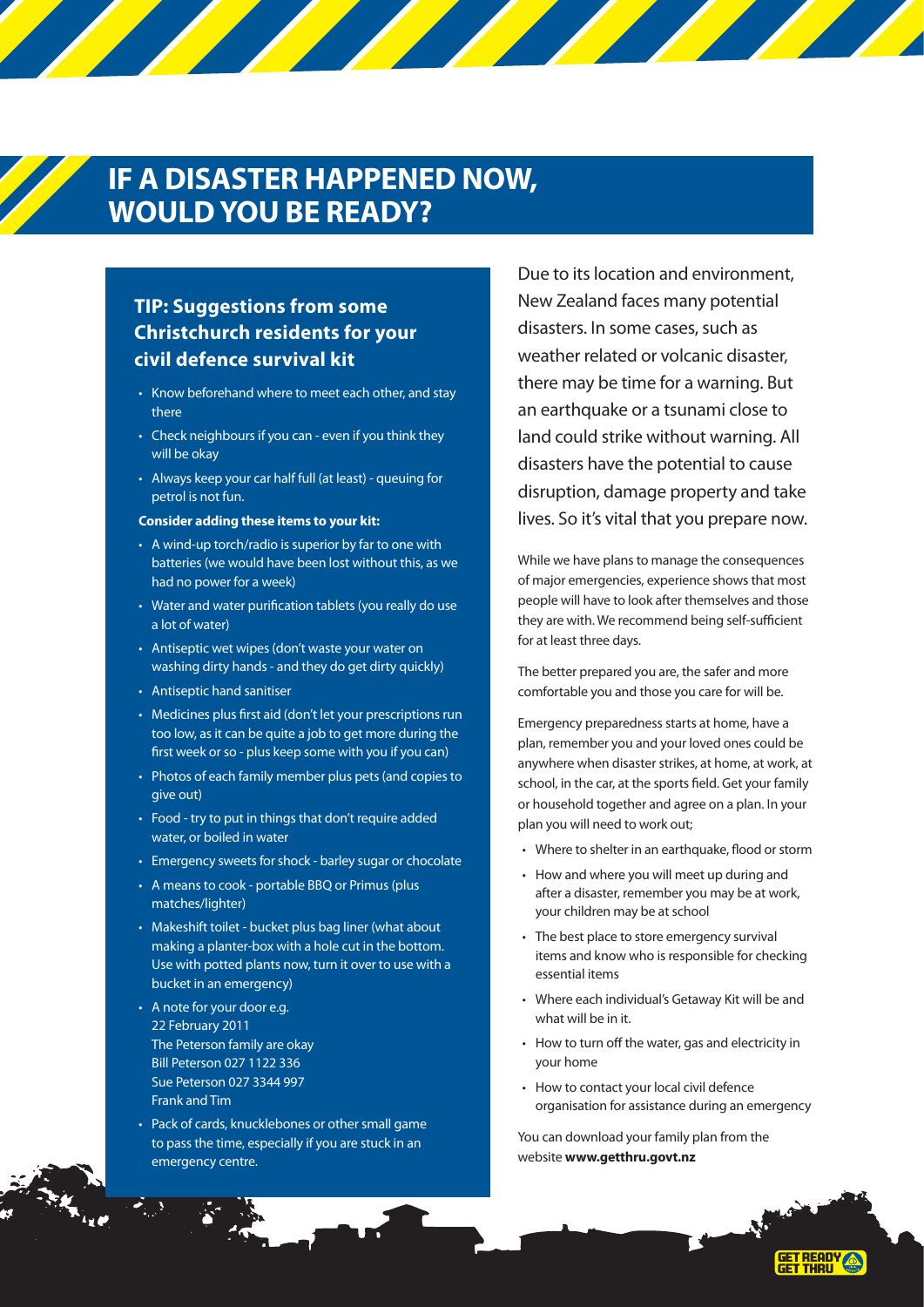### **IF A DISASTER HAPPENED NOW, WOULD YOU BE READY?**

### **TIP: Suggestions from some Christchurch residents for your civil defence survival kit**

- Know beforehand where to meet each other, and stay there
- Check neighbours if you can even if you think they will be okay
- Always keep your car half full (at least) queuing for petrol is not fun.

#### **Consider adding these items to your kit:**

- A wind-up torch/radio is superior by far to one with batteries (we would have been lost without this, as we had no power for a week)
- Water and water purification tablets (you really do use a lot of water)
- Antiseptic wet wipes (don't waste your water on washing dirty hands - and they do get dirty quickly)
- Antiseptic hand sanitiser
- Medicines plus first aid (don't let your prescriptions run too low, as it can be quite a job to get more during the first week or so - plus keep some with you if you can)
- Photos of each family member plus pets (and copies to give out)
- Food try to put in things that don't require added water, or boiled in water
- Emergency sweets for shock barley sugar or chocolate
- A means to cook portable BBQ or Primus (plus matches/lighter)
- Makeshift toilet bucket plus bag liner (what about making a planter-box with a hole cut in the bottom. Use with potted plants now, turn it over to use with a bucket in an emergency)
- A note for your door e.g. 22 February 2011 The Peterson family are okay Bill Peterson 027 1122 336 Sue Peterson 027 3344 997 Frank and Tim
- Pack of cards, knucklebones or other small game to pass the time, especially if you are stuck in an emergency centre.

Due to its location and environment, New Zealand faces many potential disasters. In some cases, such as weather related or volcanic disaster, there may be time for a warning. But an earthquake or a tsunami close to land could strike without warning. All disasters have the potential to cause disruption, damage property and take lives. So it's vital that you prepare now.

While we have plans to manage the consequences of major emergencies, experience shows that most people will have to look after themselves and those they are with. We recommend being self-sufficient for at least three days.

The better prepared you are, the safer and more comfortable you and those you care for will be.

Emergency preparedness starts at home, have a plan, remember you and your loved ones could be anywhere when disaster strikes, at home, at work, at school, in the car, at the sports field. Get your family or household together and agree on a plan. In your plan you will need to work out;

- Where to shelter in an earthquake, flood or storm
- How and where you will meet up during and after a disaster, remember you may be at work, your children may be at school
- The best place to store emergency survival items and know who is responsible for checking essential items
- Where each individual's Getaway Kit will be and what will be in it.
- How to turn off the water, gas and electricity in your home
- How to contact your local civil defence organisation for assistance during an emergency

**GET READY** 

You can download your family plan from the website **www.getthru.govt.nz**